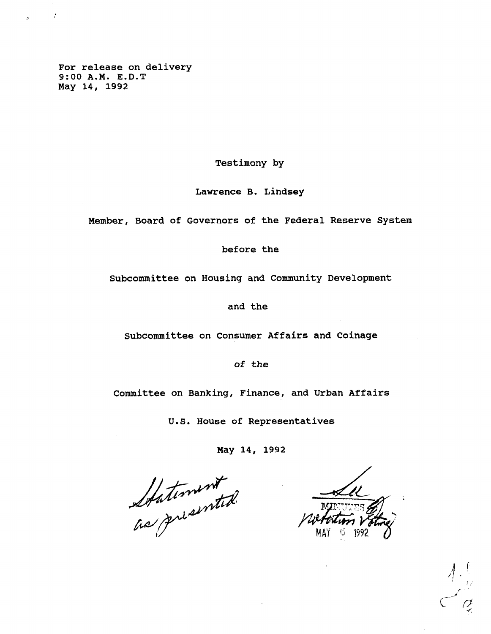**For release on delivery 9:00 A.M. E.D.T May 14, 1992**

 $\sim 10^6$ 

**Testimony by**

**Lawrence B. Lindsey**

**Member, Board of Governors of the Federal Reserve System**

**before the**

**Subcommittee on Housing and Community Development**

**and the**

**Subcommittee on Consumer Affairs and Coinage**

**of the**

**Committee on Banking, Finance, and Urban Affairs**

**U.S. House of Representatives**

**May 14, 1992**

Stationent .

MAI 9 1992  $\tilde{\phantom{a}}$ 

**f** // r •' '  $C \times \mathbb{Z}$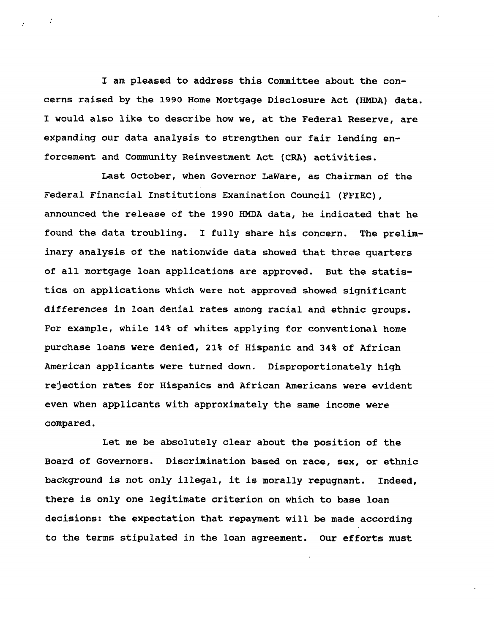**I am pleased to address this Committee about the concerns raised by the 1990 Home Mortgage Disclosure Act (HMDA) data. I would also like to describe how we, at the Federal Reserve, are expanding our data analysis to strengthen our fair lending enforcement and Community Reinvestment Act (CRA) activities.**

**Last October, when Governor LaWare, as Chairman of the Federal Financial Institutions Examination Council (FFIEC), announced the release of the 1990 HMDA data, he indicated that he found the data troubling. I fully share his concern. The preliminary analysis of the nationwide data showed that three quarters of all mortgage loan applications are approved. But the statistics on applications which were not approved showed significant differences in loan denial rates among racial and ethnic groups. For example, while 14% of whites applying for conventional home purchase loans were denied, 21% of Hispanic and 34% of African American applicants were turned down. Disproportionately high rejection rates for Hispanics and African Americans were evident even when applicants with approximately the same income were compared.**

**Let me be absolutely clear about the position of the Board of Governors. Discrimination based on race, sex, or ethnic background is not only illegal, it is morally repugnant. Indeed, there is only one legitimate criterion on which to base loan decisions: the expectation that repayment will be made according to the terms stipulated in the loan agreement. Our efforts must**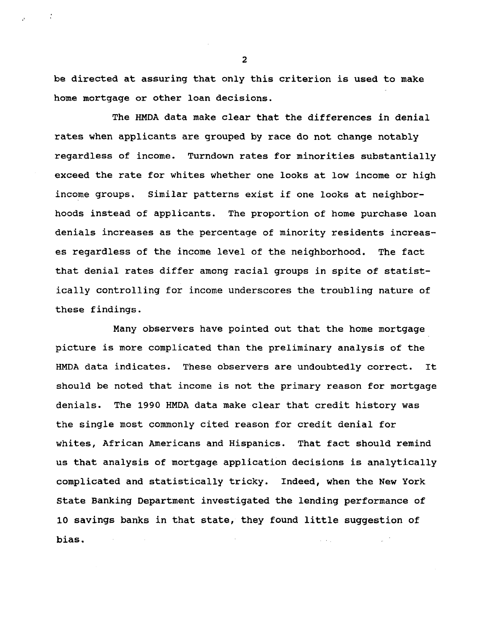**be directed at assuring that only this criterion is used to make home mortgage or other loan decisions.**

**The HMDA data make clear that the differences in denial rates when applicants are grouped by race do not change notably regardless of income. Turndown rates for minorities substantially exceed the rate for whites whether one looks at low income or high income groups. Similar patterns exist if one looks at neighborhoods instead of applicants. The proportion of home purchase loan denials increases as the percentage of minority residents increases regardless of the income level of the neighborhood. The fact that denial rates differ among racial groups in spite of statistically controlling for income underscores the troubling nature of these findings.**

**Many observers have pointed out that the home mortgage picture is more complicated than the preliminary analysis of the HMDA data indicates. These observers are undoubtedly correct. It should be noted that income is not the primary reason for mortgage denials. The 1990 HMDA data make clear that credit history was the single most commonly cited reason for credit denial for whites, African Americans and Hispanics. That fact should remind us that analysis of mortgage application decisions is analytically complicated and statistically tricky. Indeed, when the New York State Banking Department investigated the lending performance of 10 savings banks in that state, they found little suggestion of bias.** $\omega$  ,  $\omega$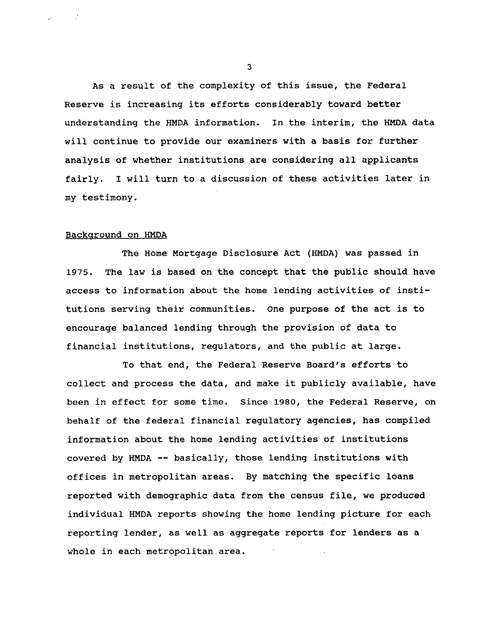**As a result of the complexity of this issue, the Federal Reserve is increasing its efforts considerably toward better understanding the HMDA information. In the interim, the HMDA data will continue to provide our examiners with a basis for further analysis of whether institutions are considering all applicants fairly. I will turn to a discussion of these activities later in my testimony.**

## **Background on HMDA**

 $\sim 10^{12}$ 

**The Home Mortgage Disclosure Act (HMDA) was passed in 1975. The law is based on the concept that the public should have access to information about the home lending activities of institutions serving their communities. One purpose of the act is to encourage balanced lending through the provision of data to financial institutions, regulators, and the public at large.**

**To that end, the Federal Reserve Board's efforts to collect and process the data, and make it publicly available, have been in effect for some time. Since 1980, the Federal Reserve, on behalf of the federal financial regulatory agencies, has compiled information about the home lending activities of institutions covered by HMDA — basically, those lending institutions with offices in metropolitan areas. By matching the specific loans reported with demographic data from the census file, we produced individual HMDA reports showing the home lending picture for each reporting lender, as well as aggregate reports for lenders as a whole in each metropolitan area.**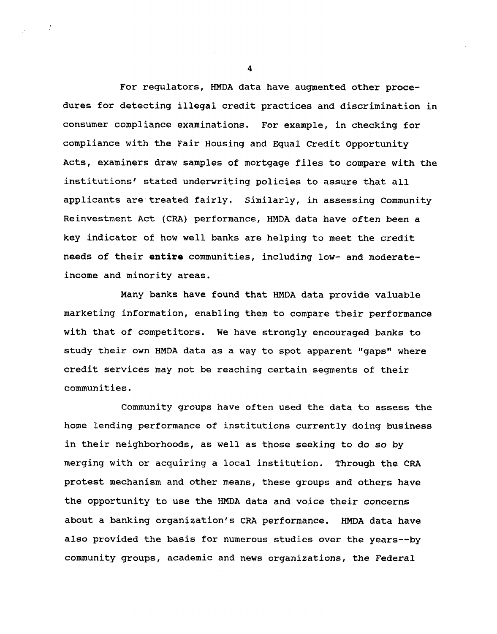For regulators, HMDA data have augmented other procedures for detecting illegal credit practices and discrimination in consumer compliance examinations. For example, in checking for compliance with the Fair Housing and Equal Credit Opportunity Acts, examiners draw samples of mortgage files to compare with the institutions' stated underwriting policies to assure that all applicants are treated fairly. Similarly, in assessing Community Reinvestment Act (CRA) performance, HMDA data have often been a key indicator of how well banks are helping to meet the credit needs of their **entire** communities, including low- and moderateincome and minority areas.

Many banks have found that HMDA data provide valuable marketing information, enabling them to compare their performance with that of competitors. We have strongly encouraged banks to study their own HMDA data as a way to spot apparent "gaps" where credit services may not be reaching certain segments of their communities.

Community groups have often used the data to assess the home lending performance of institutions currently doing business in their neighborhoods, as well as those seeking to do so by merging with or acquiring a local institution. Through the CRA protest mechanism and other means, these groups and others have the opportunity to use the HMDA data and voice their concerns about a banking organization's CRA performance. HMDA data have also provided the basis for numerous studies over the years—by community groups, academic and news organizations, the Federal

**4**

 $\sim 10^9$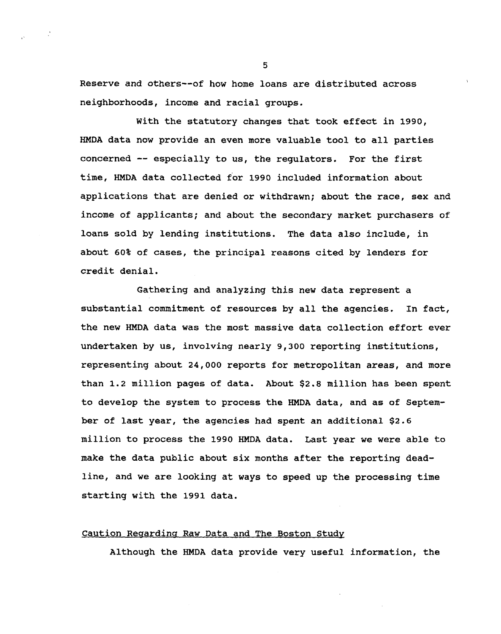**Reserve and others—of how home loans are distributed across neighborhoods, income and racial groups.**

**With the statutory changes that took effect in 1990, HMDA data now provide an even more valuable tool to all parties concerned — especially to us, the regulators. For the first time, HMDA data collected for 1990 included information about applications that are denied or withdrawn; about the race, sex and income of applicants; and about the secondary market purchasers of loans sold by lending institutions. The data also include, in about 60% of cases, the principal reasons cited by lenders for credit denial.**

**Gathering and analyzing this new data represent a substantial commitment of resources by all the agencies. In fact, the new HMDA data was the most massive data collection effort ever undertaken by us, involving nearly 9,300 reporting institutions, representing about 24,000 reports for metropolitan areas, and more than 1.2 million pages of data. About \$2.8 million has been spent to develop the system to process the HMDA data, and as of September of last year, the agencies had spent an additional \$2.6 million to process the 1990 HMDA data. Last year we were able to make the data public about six months after the reporting deadline, and we are looking at ways to speed up the processing time starting with the 1991 data.**

## **Caution Regarding Raw Data and The Boston Study**

**Although the HMDA data provide very useful information, the**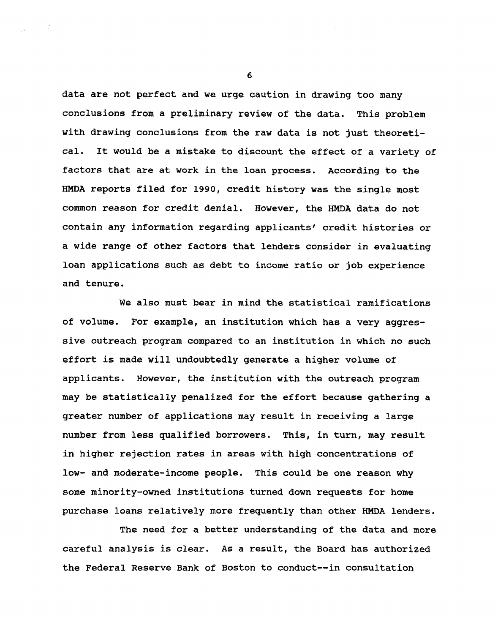**data are not perfect and we urge caution in drawing too many conclusions from a preliminary review of the data. This problem with drawing conclusions from the raw data is not just theoretical. It would be a mistake to discount the effect of a variety of factors that are at work in the loan process. According to the HMDA reports filed for 1990, credit history was the single most common reason for credit denial. However, the HMDA data do not contain any information regarding applicants' credit histories or a wide range of other factors that lenders consider in evaluating loan applications such as debt to income ratio or job experience and tenure.**

**We also must bear in mind the statistical ramifications of volume. For example, an institution which has a very aggressive outreach program compared to an institution in which no such effort is made will undoubtedly generate a higher volume of applicants. However, the institution with the outreach program may be statistically penalized for the effort because gathering a greater number of applications may result in receiving a large number from less qualified borrowers. This, in turn, may result in higher rejection rates in areas with high concentrations of low- and moderate-income people. This could be one reason why some minority-owned institutions turned down requests for home purchase loans relatively more frequently than other HMDA lenders.**

**The need for a better understanding of the data and more careful analysis is clear. As a result, the Board has authorized the Federal Reserve Bank of Boston to conduct—in consultation**

**6**

 $\sim 10^6$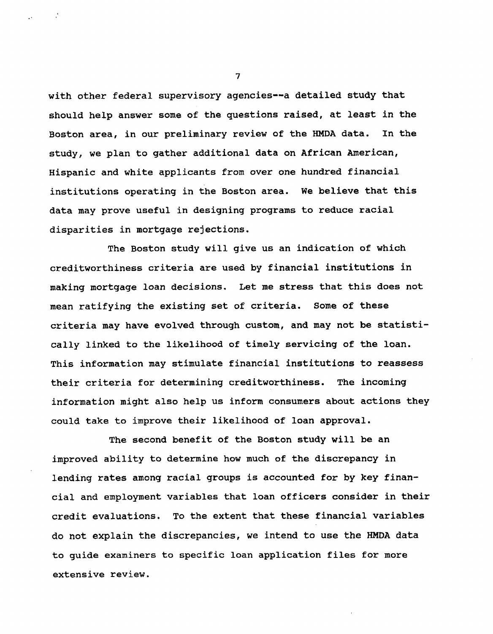**with other federal supervisory agencies—a detailed study that should help answer some of the questions raised, at least in the Boston area, in our preliminary review of the HMDA data. In the study, we plan to gather additional data on African American, Hispanic and white applicants from over one hundred financial institutions operating in the Boston area. We believe that this data may prove useful in designing programs to reduce racial disparities in mortgage rejections.**

**The Boston study will give us an indication of which creditworthiness criteria are used by financial institutions in making mortgage loan decisions. Let me stress that this does not mean ratifying the existing set of criteria. Some of these criteria may have evolved through custom, and may not be statistically linked to the likelihood of timely servicing of the loan. This information may stimulate financial institutions to reassess their criteria for determining creditworthiness. The incoming information might also help us inform consumers about actions they could take to improve their likelihood of loan approval.**

**The second benefit of the Boston study will be an improved ability to determine how much of the discrepancy in lending rates among racial groups is accounted for by key financial and employment variables that loan officers consider in their credit evaluations. To the extent that these financial variables do not explain the discrepancies, we intend to use the HMDA data to guide examiners to specific loan application files for more extensive review.**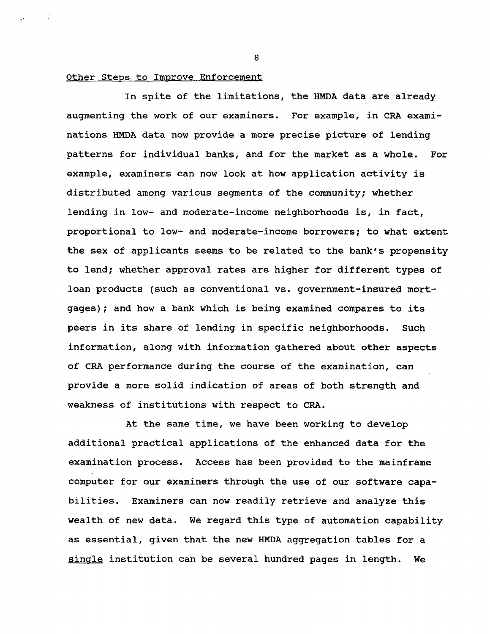## **Other Steps to Improve Enforcement**

**In spite of the limitations, the HMDA data are already augmenting the work of our examiners. For example, in CRA examinations HMDA data now provide a more precise picture of lending patterns for individual banks, and for the market as a whole. For example, examiners can now look at how application activity is distributed among various segments of the community; whether lending in low- and moderate-income neighborhoods is, in fact, proportional to low- and moderate-income borrowers; to what extent the sex of applicants seems to be related to the bank's propensity to lend; whether approval rates are higher for different types of loan products (such as conventional vs. government-insured mortgages) ; and how a bank which is being examined compares to its peers in its share of lending in specific neighborhoods. Such information, along with information gathered about other aspects of CRA performance during the course of the examination, can provide a more solid indication of areas of both strength and weakness of institutions with respect to CRA.**

**At the same time, we have been working to develop additional practical applications of the enhanced data for the examination process. Access has been provided to the mainframe computer for our examiners through the use of our software capabilities. Examiners can now readily retrieve and analyze this wealth of new data. We regard this type of automation capability as essential, given that the new HMDA aggregation tables for a single institution can be several hundred pages in length. We**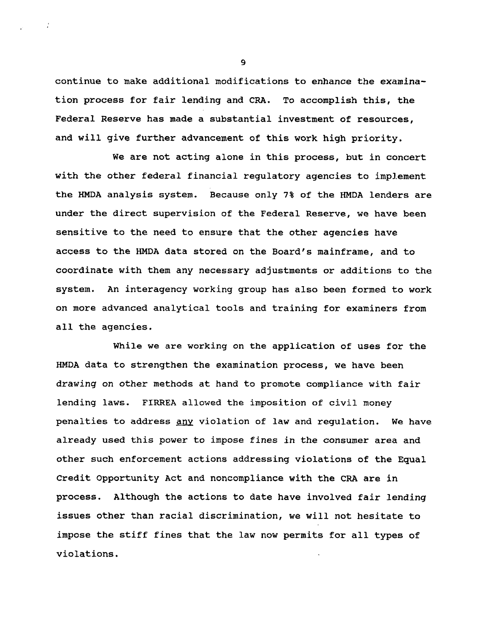**continue to make additional modifications to enhance the examination process for fair lending and CRA. To accomplish this, the Federal Reserve has made a substantial investment of resources, and will give further advancement of this work high priority.**

**We are not acting alone in this process, but in concert with the other federal financial regulatory agencies to implement the HMDA analysis system. Because only 7% of the HMDA lenders are under the direct supervision of the Federal Reserve, we have been sensitive to the need to ensure that the other agencies have access to the HMDA data stored on the Board's mainframe, and to coordinate with them any necessary adjustments or additions to the system. An interagency working group has also been formed to work on more advanced analytical tools and training for examiners from all the agencies.**

**While we are working on the application of uses for the HMDA data to strengthen the examination process, we have been drawing on other methods at hand to promote compliance with fair lending laws. FIRREA allowed the imposition of civil money penalties to address anv violation of law and regulation. We have already used this power to impose fines in the consumer area and other such enforcement actions addressing violations of the Equal Credit Opportunity Act and noncompliance with the CRA are in process. Although the actions to date have involved fair lending issues other than racial discrimination, we will not hesitate to impose the stiff fines that the law now permits for all types of violations.**

**9**

 $\sim 2$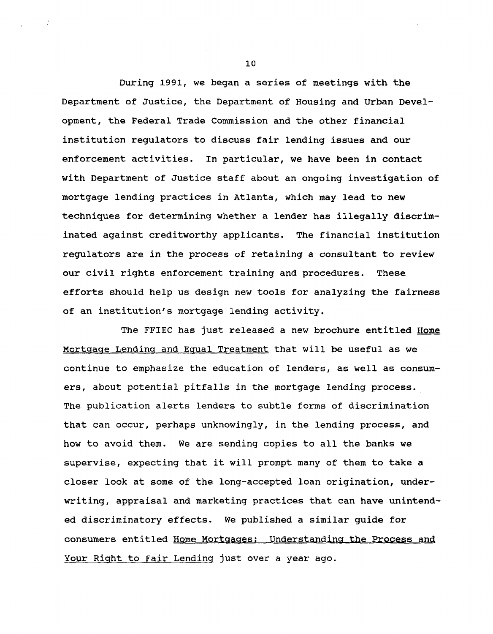**During 1991, we began a series of meetings with the Department of Justice, the Department of Housing and Urban Development, the Federal Trade Commission and the other financial institution regulators to discuss fair lending issues and our enforcement activities. In particular, we have been in contact with Department of Justice staff about an ongoing investigation of mortgage lending practices in Atlanta, which may lead to new techniques for determining whether a lender has illegally discriminated against creditworthy applicants. The financial institution regulators are in the process of retaining a consultant to review our civil rights enforcement training and procedures. These efforts should help us design new tools for analyzing the fairness of an institution's mortgage lending activity.**

**The FFIEC has just released a new brochure entitled Home Mortgage Lending and Equal Treatment that will be useful as we continue to emphasize the education of lenders, as well as consumers, about potential pitfalls in the mortgage lending process. The publication alerts lenders to subtle forms of discrimination that can occur, perhaps unknowingly, in the lending process, and how to avoid them. We are sending copies to all the banks we supervise, expecting that it will prompt many of them to take a closer look at some of the long-accepted loan origination, underwriting, appraisal and marketing practices that can have unintended discriminatory effects. We published a similar guide for consumers entitled Home Mortgages: Understanding the Process and Your Right to Fair Lending just over a year ago.**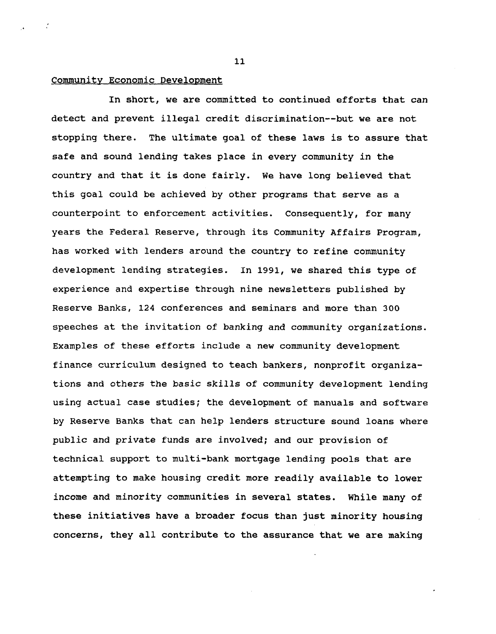## **Community Economic Development**

 $\mathcal{L}$ 

**In short, we are committed to continued efforts that can detect and prevent illegal credit discrimination—but we are not stopping there. The ultimate goal of these laws is to assure that safe and sound lending takes place in every community in the country and that it is done fairly. We have long believed that this goal could be achieved by other programs that serve as a counterpoint to enforcement activities. Consequently, for many years the Federal Reserve, through its Community Affairs Program, has worked with lenders around the country to refine community development lending strategies. In 1991, we shared this type of experience and expertise through nine newsletters published by Reserve Banks, 124 conferences and seminars and more than 300 speeches at the invitation of banking and community organizations. Examples of these efforts include a new community development finance curriculum designed to teach bankers, nonprofit organizations and others the basic skills of community development lending using actual case studies; the development of manuals and software by Reserve Banks that can help lenders structure sound loans where public and private funds are involved; and our provision of technical support to multi-bank mortgage lending pools that are attempting to make housing credit more readily available to lower income and minority communities in several states. While many of these initiatives have a broader focus than just minority housing concerns, they all contribute to the assurance that we are making**